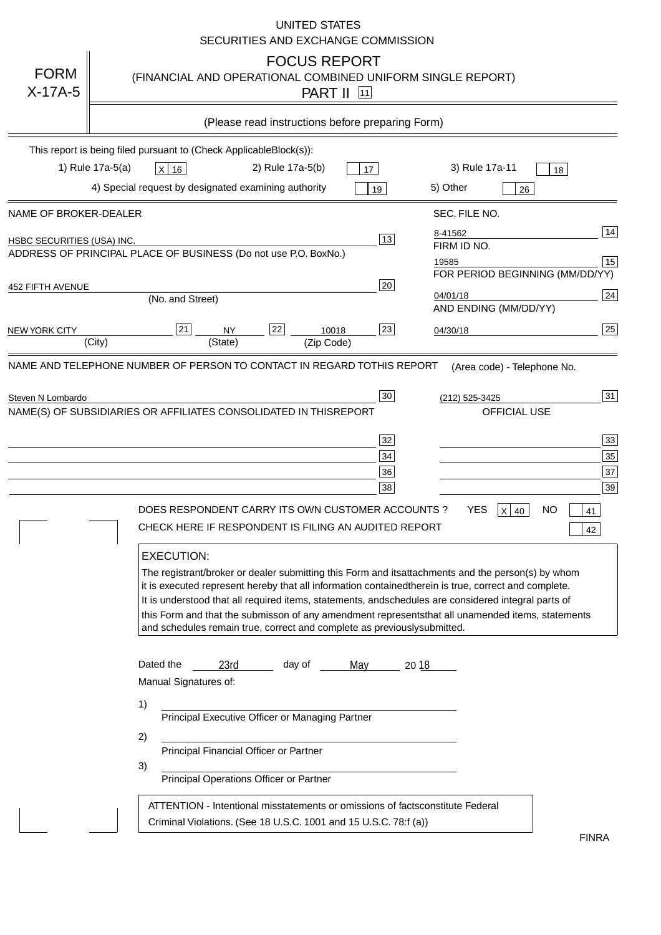|                                   | <b>UNITED STATES</b><br>SECURITIES AND EXCHANGE COMMISSION                                                                                                                                                                                                                                                                                                                                                                                                                                                                                                                                                                                                                                                                                                                                                                                                                           |
|-----------------------------------|--------------------------------------------------------------------------------------------------------------------------------------------------------------------------------------------------------------------------------------------------------------------------------------------------------------------------------------------------------------------------------------------------------------------------------------------------------------------------------------------------------------------------------------------------------------------------------------------------------------------------------------------------------------------------------------------------------------------------------------------------------------------------------------------------------------------------------------------------------------------------------------|
| <b>FORM</b><br>$X-17A-5$          | <b>FOCUS REPORT</b><br>(FINANCIAL AND OPERATIONAL COMBINED UNIFORM SINGLE REPORT)<br><b>PART II 11</b>                                                                                                                                                                                                                                                                                                                                                                                                                                                                                                                                                                                                                                                                                                                                                                               |
|                                   | (Please read instructions before preparing Form)                                                                                                                                                                                                                                                                                                                                                                                                                                                                                                                                                                                                                                                                                                                                                                                                                                     |
|                                   | This report is being filed pursuant to (Check Applicable<br>$Block(s)$ :<br>3) Rule 17a-11<br>1) Rule 17a-5(a)<br>2) Rule 17a-5(b)<br>$X$ 16<br>17<br>18<br>4) Special request by designated examining authority<br>5) Other<br>19<br>26                                                                                                                                                                                                                                                                                                                                                                                                                                                                                                                                                                                                                                             |
| NAME OF BROKER-DEALER             | SEC. FILE NO.                                                                                                                                                                                                                                                                                                                                                                                                                                                                                                                                                                                                                                                                                                                                                                                                                                                                        |
| <b>HSBC SECURITIES (USA) INC.</b> | 14<br>8-41562<br>13<br>FIRM ID NO.<br>ADDRESS OF PRINCIPAL PLACE OF BUSINESS (Do not use P.O. Box<br>No.)<br>$\boxed{15}$<br>19585<br>FOR PERIOD BEGINNING (MM/DD/YY)                                                                                                                                                                                                                                                                                                                                                                                                                                                                                                                                                                                                                                                                                                                |
| <b>452 FIFTH AVENUE</b>           | 20<br>24<br>04/01/18<br>(No. and Street)<br>AND ENDING (MM/DD/YY)                                                                                                                                                                                                                                                                                                                                                                                                                                                                                                                                                                                                                                                                                                                                                                                                                    |
| <b>NEW YORK CITY</b>              | 25<br>21<br>22<br>23<br><b>NY</b><br>10018<br>04/30/18<br>(City)<br>(State)<br>(Zip Code)                                                                                                                                                                                                                                                                                                                                                                                                                                                                                                                                                                                                                                                                                                                                                                                            |
| Steven N Lombardo                 | 31<br>30<br>(212) 525-3425<br>NAME(S) OF SUBSIDIARIES OR AFFILIATES CONSOLIDATED IN THIS<br><b>REPORT</b><br><b>OFFICIAL USE</b><br>33<br>32<br>35<br>$34$<br>37<br>36<br>39<br>38<br><b>YES</b><br>DOES RESPONDENT CARRY ITS OWN CUSTOMER ACCOUNTS?<br>$X$ 40<br>ΝO<br>41<br>CHECK HERE IF RESPONDENT IS FILING AN AUDITED REPORT<br>42<br><b>EXECUTION:</b><br>The registrant/broker or dealer submitting this Form and its<br>attachments and the person(s) by whom<br>it is executed represent hereby that all information contained<br>therein is true, correct and complete.<br>It is understood that all required items, statements, and<br>schedules are considered integral parts of<br>this Form and that the submisson of any amendment represents<br>that all unamended items, statements<br>and schedules remain true, correct and complete as previously<br>submitted. |
|                                   | Dated the<br>day of<br>23rd<br>20 18<br>May<br>Manual Signatures of:<br>1)<br>Principal Executive Officer or Managing Partner<br>2)<br>Principal Financial Officer or Partner<br>3)<br>Principal Operations Officer or Partner<br>ATTENTION - Intentional misstatements or omissions of facts<br>constitute Federal<br>Criminal Violations. (See 18 U.S.C. 1001 and 15 U.S.C. 78:f (a)<br><b>FINRA</b>                                                                                                                                                                                                                                                                                                                                                                                                                                                                               |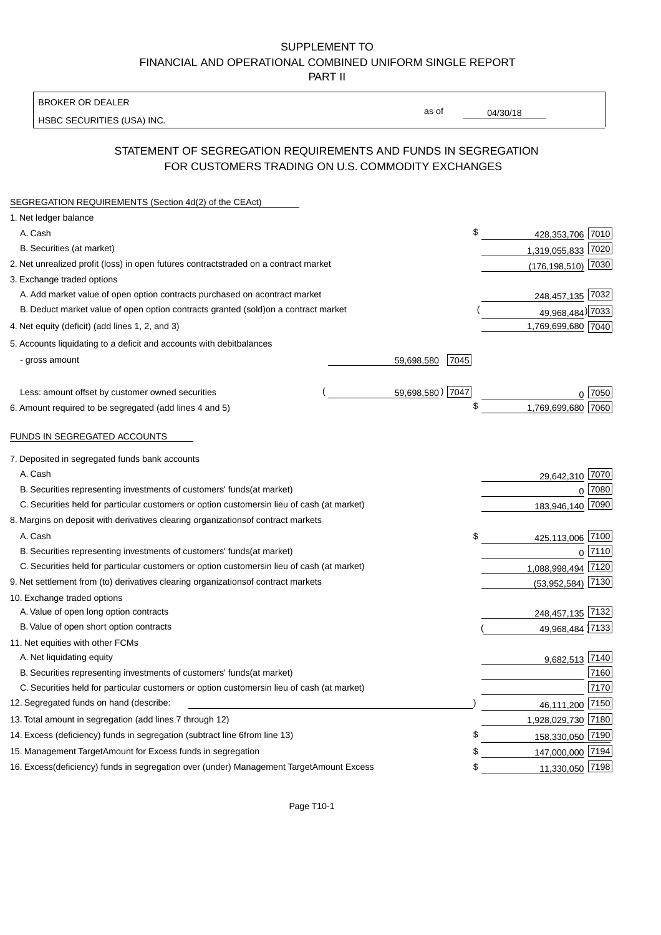### BROKER OR DEALER

HSBC SECURITIES (USA) INC.

04/30/18

as of

# STATEMENT OF SEGREGATION REQUIREMENTS AND FUNDS IN SEGREGATION FOR CUSTOMERS TRADING ON U.S. COMMODITY EXCHANGES

| SEGREGATION REQUIREMENTS (Section 4d(2) of the CEAct)                                          |      |                      |        |
|------------------------------------------------------------------------------------------------|------|----------------------|--------|
| 1. Net ledger balance                                                                          |      |                      |        |
| A. Cash                                                                                        | \$   | 428,353,706 7010     |        |
| B. Securities (at market)                                                                      |      | 1,319,055,833 7020   |        |
| 2. Net unrealized profit (loss) in open futures contracts<br>traded on a contract market       |      | (176, 198, 510) 7030 |        |
| 3. Exchange traded options                                                                     |      |                      |        |
| A. Add market value of open option contracts purchased on a<br>contract market                 |      | 248,457,135 7032     |        |
| B. Deduct market value of open option contracts granted (sold)<br>on a contract market         |      | 49,968,484) 7033     |        |
| 4. Net equity (deficit) (add lines 1, 2, and 3)                                                |      | 1,769,699,680 7040   |        |
| 5. Accounts liquidating to a deficit and accounts with debit<br>balances                       |      |                      |        |
| - gross amount<br>59,698,580                                                                   | 7045 |                      |        |
|                                                                                                |      |                      |        |
| 59,698,580) 7047<br>Less: amount offset by customer owned securities                           |      |                      | 0 7050 |
| 6. Amount required to be segregated (add lines 4 and 5)                                        | \$   | 1,769,699,680        | 7060   |
|                                                                                                |      |                      |        |
| FUNDS IN SEGREGATED ACCOUNTS                                                                   |      |                      |        |
| 7. Deposited in segregated funds bank accounts                                                 |      |                      |        |
| A. Cash                                                                                        |      | 29,642,310           | 7070   |
| B. Securities representing investments of customers' funds<br>(at market)                      |      | $\Omega$             | 7080   |
| C. Securities held for particular customers or option customers<br>in lieu of cash (at market) |      | 183,946,140 7090     |        |
| 8. Margins on deposit with derivatives clearing organizations<br>of contract markets           |      |                      |        |
| A. Cash                                                                                        | \$   | 425,113,006          | 7100   |
| B. Securities representing investments of customers' funds<br>(at market)                      |      | $\mathbf 0$          | 7110   |
| C. Securities held for particular customers or option customers<br>in lieu of cash (at market) |      | 1,088,998,494        | 7120   |
| 9. Net settlement from (to) derivatives clearing organizations<br>of contract markets          |      | (53,952,584)         | 7130   |
| 10. Exchange traded options                                                                    |      |                      |        |
| A. Value of open long option contracts                                                         |      | 248,457,135 7132     |        |
| B. Value of open short option contracts                                                        |      | 49,968,484 7133      |        |
| 11. Net equities with other FCMs                                                               |      |                      |        |
| A. Net liquidating equity                                                                      |      | 9,682,513 7140       |        |
| B. Securities representing investments of customers' funds<br>(at market)                      |      |                      | 7160   |
| C. Securities held for particular customers or option customers<br>in lieu of cash (at market) |      |                      | 7170   |
| 12. Segregated funds on hand (describe:                                                        |      | 46,111,200           | 7150   |
| 13. Total amount in segregation (add lines 7 through 12)                                       |      | 1,928,029,730 7180   |        |
| 14. Excess (deficiency) funds in segregation (subtract line 6 from line 13)                    | \$.  | 158,330,050 7190     |        |
| 15. Management Target Amount for Excess funds in segregation                                   | £    | 147,000,000 7194     |        |
| 16. Excess (deficiency) funds in segregation over (under) Management Target Amount Excess      | \$   | 11,330,050 7198      |        |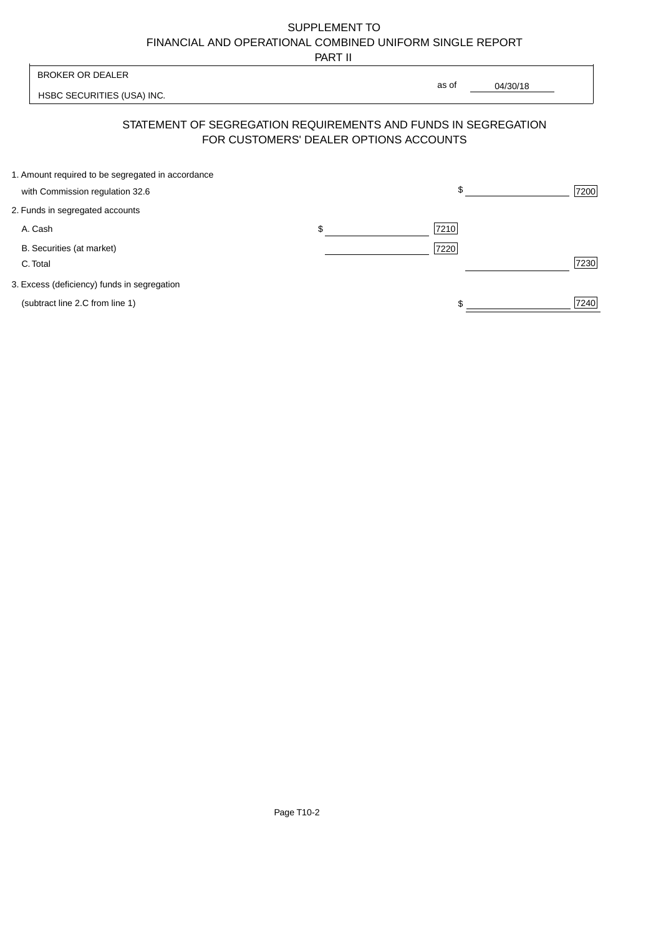PART II

| <b>BROKER OR DEALER</b>                           |                                                                                                          |                   |      |
|---------------------------------------------------|----------------------------------------------------------------------------------------------------------|-------------------|------|
| HSBC SECURITIES (USA) INC.                        |                                                                                                          | as of<br>04/30/18 |      |
|                                                   | STATEMENT OF SEGREGATION REQUIREMENTS AND FUNDS IN SEGREGATION<br>FOR CUSTOMERS' DEALER OPTIONS ACCOUNTS |                   |      |
| 1. Amount required to be segregated in accordance |                                                                                                          |                   |      |
| with Commission regulation 32.6                   |                                                                                                          | \$                | 7200 |
| 2. Funds in segregated accounts                   |                                                                                                          |                   |      |
| A. Cash                                           | \$                                                                                                       | 7210              |      |
| B. Securities (at market)                         |                                                                                                          | 7220              |      |
| C. Total                                          |                                                                                                          |                   | 7230 |
| 3. Excess (deficiency) funds in segregation       |                                                                                                          |                   |      |

(subtract line 2.C from line 1)  $\frac{1}{240}$ 

 $\frac{1}{1}$ 

 $\overline{\mathsf{I}}$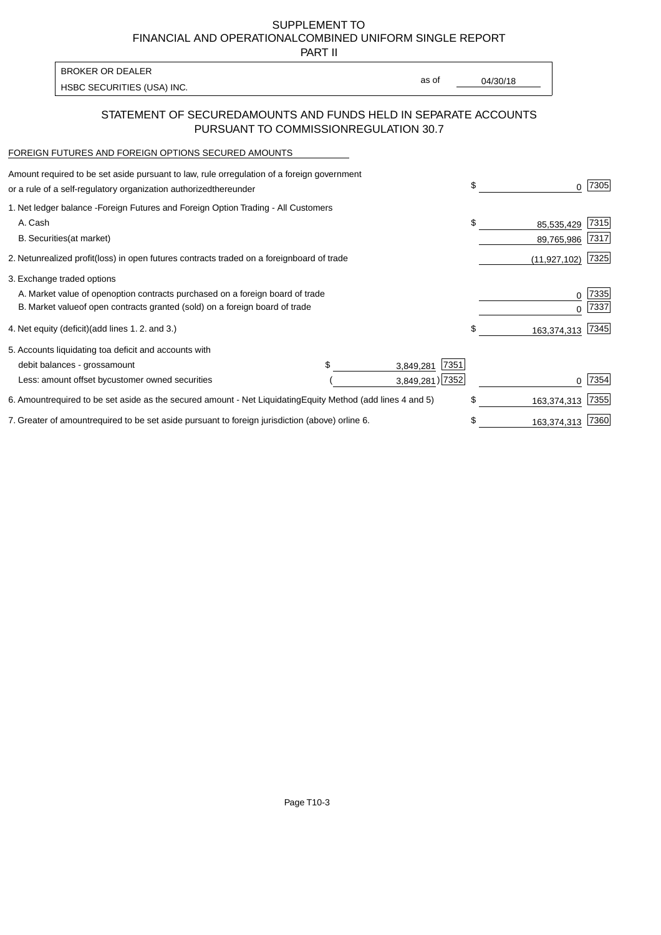PART II

HSBC SECURITIES (USA) INC. The state of the second second second second second second second second second second second second second second second second second second second second second second second second second sec BROKER OR DEALER

as of

### STATEMENT OF SECURED AMOUNTS AND FUNDS HELD IN SEPARATE ACCOUNTS PURSUANT TO COMMISSION REGULATION 30.7

### FOREIGN FUTURES AND FOREIGN OPTIONS SECURED AMOUNTS

| Amount required to be set aside pursuant to law, rule or<br>regulation of a foreign government<br>or a rule of a self-regulatory organization authorized<br>thereunder                       |                |                                      | \$<br>O.                       | 7305         |
|----------------------------------------------------------------------------------------------------------------------------------------------------------------------------------------------|----------------|--------------------------------------|--------------------------------|--------------|
| 1. Net ledger balance - Foreign Futures and Foreign Option Trading - All Customers<br>A. Cash<br><b>B.</b> Securities<br>(at market)                                                         |                |                                      | \$<br>85,535,429<br>89,765,986 | 7315<br>7317 |
| 2. Net unrealized profit (loss) in open futures contracts traded on a foreign                                                                                                                | board of trade |                                      | (11, 927, 102)                 | 7325         |
| 3. Exchange traded options<br>A. Market value of open option contracts purchased on a foreign board of trade<br>B. Market value of open contracts granted (sold) on a foreign board of trade |                |                                      | 0<br><sup>0</sup>              | 7335<br>7337 |
| 4. Net equity (deficit) (add lines 1.2. and 3.)                                                                                                                                              |                |                                      | \$<br>163,374,313              | 7345         |
| 5. Accounts liquidating to a deficit and accounts with<br>debit balances - gross<br>amount<br>Less: amount offset by customer owned securities                                               | \$.            | 7351<br>3,849,281<br>3,849,281) 7352 |                                | 7354         |
| 6. Amount required to be set aside as the secured amount - Net Liquidating                                                                                                                   |                | Equity Method (add lines 4 and 5)    | \$<br>163,374,313              | 7355         |
| 7. Greater of amount required to be set aside pursuant to foreign jurisdiction (above) or                                                                                                    | line 6.        |                                      | \$<br>163,374,313              | 7360         |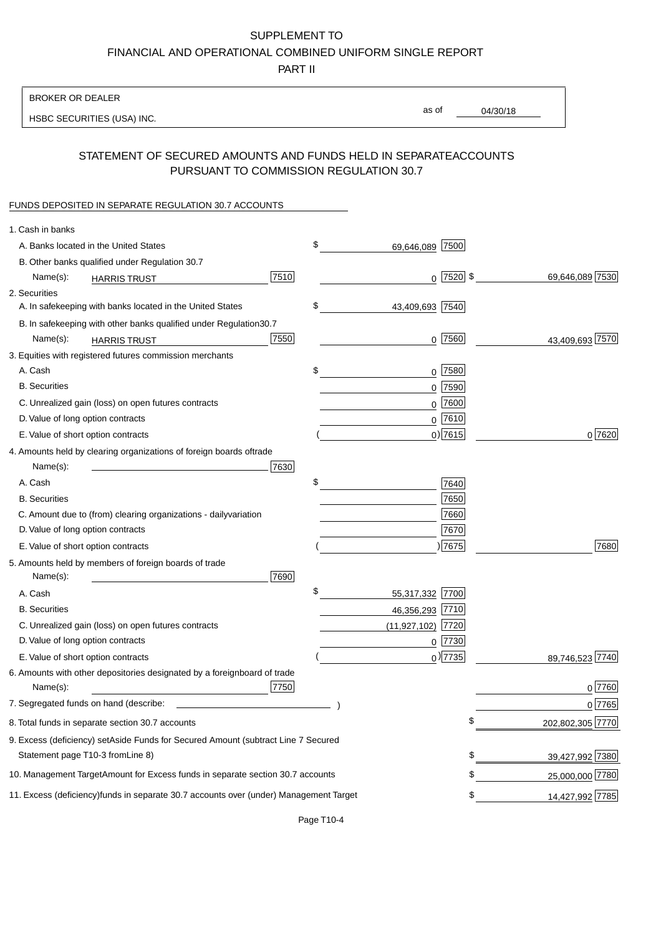PART II

| <b>BROKER OR DEALER</b>                                                                           |      |                     |                 |                  |
|---------------------------------------------------------------------------------------------------|------|---------------------|-----------------|------------------|
| HSBC SECURITIES (USA) INC.                                                                        |      | as of               | 04/30/18        |                  |
|                                                                                                   |      |                     |                 |                  |
| STATEMENT OF SECURED AMOUNTS AND FUNDS HELD IN SEPARATE<br>PURSUANT TO COMMISSION REGULATION 30.7 |      |                     | <b>ACCOUNTS</b> |                  |
| FUNDS DEPOSITED IN SEPARATE REGULATION 30.7 ACCOUNTS                                              |      |                     |                 |                  |
| 1. Cash in banks                                                                                  |      |                     |                 |                  |
| A. Banks located in the United States                                                             | \$   | 69,646,089 7500     |                 |                  |
| B. Other banks qualified under Regulation 30.7                                                    |      |                     |                 |                  |
| Name(s):<br><b>HARRIS TRUST</b>                                                                   | 7510 | $0$  7520 \$        |                 | 69,646,089 7530  |
| 2. Securities                                                                                     |      |                     |                 |                  |
| A. In safekeeping with banks located in the United States                                         | \$   | 43,409,693 7540     |                 |                  |
| 30.7<br>B. In safekeeping with other banks qualified under Regulation                             |      |                     |                 |                  |
| Name(s):<br><b>HARRIS TRUST</b>                                                                   | 7550 | $0$ 7560            |                 | 43,409,693 7570  |
| 3. Equities with registered futures commission merchants                                          |      |                     |                 |                  |
| A. Cash                                                                                           | \$   | $0$ 7580            |                 |                  |
| <b>B.</b> Securities                                                                              |      | $0$ 7590            |                 |                  |
| C. Unrealized gain (loss) on open futures contracts                                               |      | $0$ 7600            |                 |                  |
| D. Value of long option contracts                                                                 |      | $0^{7610}$          |                 |                  |
| E. Value of short option contracts                                                                |      | $0)$ 7615           |                 | 0 7620           |
| 4. Amounts held by clearing organizations of foreign boards of<br>trade                           |      |                     |                 |                  |
| Name(s):                                                                                          | 7630 |                     |                 |                  |
| A. Cash                                                                                           | \$   | 7640                |                 |                  |
| <b>B.</b> Securities                                                                              |      | 7650                |                 |                  |
| C. Amount due to (from) clearing organizations - daily<br>variation                               |      | 7660                |                 |                  |
| D. Value of long option contracts                                                                 |      | 7670                |                 |                  |
| E. Value of short option contracts                                                                |      | ) 7675              |                 | 7680             |
| 5. Amounts held by members of foreign boards of trade<br>Name(s):                                 | 7690 |                     |                 |                  |
| A. Cash                                                                                           | \$   | 55,317,332 7700     |                 |                  |
| <b>B.</b> Securities                                                                              |      | 46,356,293 7710     |                 |                  |
| C. Unrealized gain (loss) on open futures contracts                                               |      | $(11,927,102)$ 7720 |                 |                  |
| D. Value of long option contracts                                                                 |      | $0$ 7730            |                 |                  |
| E. Value of short option contracts                                                                |      | $_0$ ) 7735         |                 | 89,746,523 7740  |
| 6. Amounts with other depositories designated by a foreign<br>board of trade<br>Name(s):          | 7750 |                     |                 | 0 7760           |
| 7. Segregated funds on hand (describe:                                                            |      |                     |                 | 0 7765           |
| 8. Total funds in separate section 30.7 accounts                                                  |      |                     | \$              | 202,802,305 7770 |
| 9. Excess (deficiency) set Aside Funds for Secured Amount (subtract Line 7 Secured                |      |                     |                 |                  |
| Statement page T10-3 from Line 8)                                                                 |      |                     | \$              | 39,427,992 7380  |
| 10. Management Target Amount for Excess funds in separate section 30.7 accounts                   |      |                     | \$              | 25,000,000 7780  |
| 11. Excess (deficiency) funds in separate 30.7 accounts over (under) Management Target            |      |                     | \$              | 14,427,992 7785  |
|                                                                                                   |      |                     |                 |                  |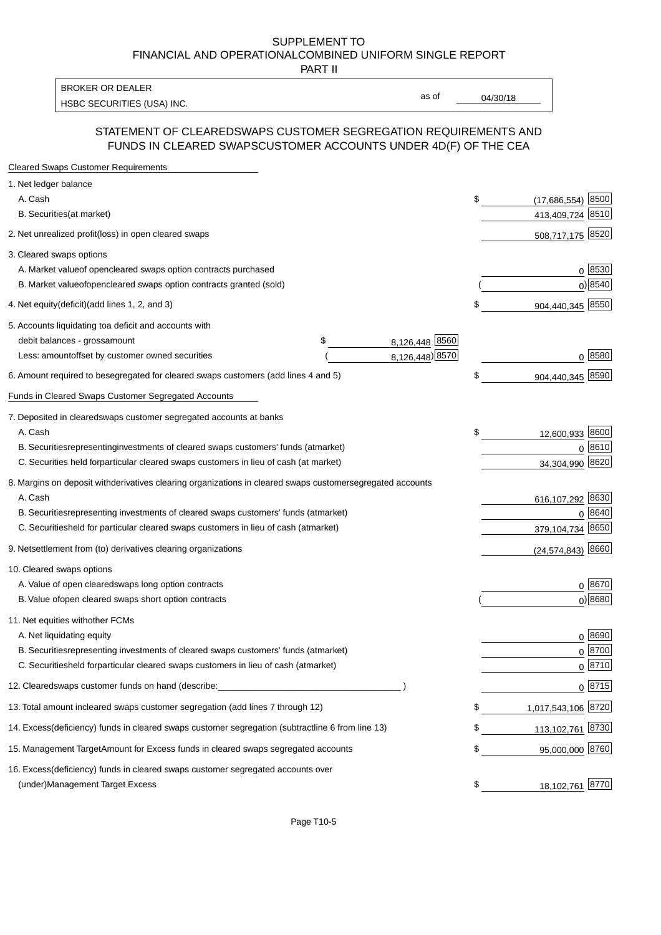PART II

HSBC SECURITIES (USA) INC. The contract of the contract of the contract of the contract of the contract of the contract of the contract of the contract of the contract of the contract of the contract of the contract of the BROKER OR DEALER

as of

### STATEMENT OF CLEARED SWAPS CUSTOMER SEGREGATION REQUIREMENTS AND FUNDS IN CLEARED SWAPS CUSTOMER ACCOUNTS UNDER 4D(F) OF THE CEA

| <b>Cleared Swaps Customer Requirements</b>                                                                  |    |                       |
|-------------------------------------------------------------------------------------------------------------|----|-----------------------|
| 1. Net ledger balance                                                                                       |    |                       |
| A. Cash                                                                                                     | \$ | 8500<br>(17,686,554)  |
| B. Securities (at market)                                                                                   |    | 413,409,724 8510      |
| 2. Net unrealized profit (loss) in open cleared swaps                                                       |    | 508,717,175 8520      |
| 3. Cleared swaps options                                                                                    |    |                       |
| A. Market value of open cleared swaps option contracts purchased                                            |    | 0   8530              |
| B. Market value of open cleared swaps option contracts granted (sold)                                       |    | $0)$ 8540             |
| 4. Net equity (deficit) (add lines 1, 2, and 3)                                                             | \$ | 904,440,345 8550      |
| 5. Accounts liquidating to a deficit and accounts with                                                      |    |                       |
| 8,126,448 8560<br>debit balances - gross<br>\$<br>amount                                                    |    |                       |
| 8,126,448) 8570<br>Less: amount offset by customer owned securities                                         |    | 0 8580                |
| 6. Amount required to be segregated for cleared swaps customers (add lines 4 and 5)                         | \$ | 904,440,345 8590      |
| Funds in Cleared Swaps Customer Segregated Accounts                                                         |    |                       |
| 7. Deposited in cleared swaps customer segregated accounts at banks                                         |    |                       |
| A. Cash                                                                                                     | \$ | 12,600,933 8600       |
| B. Securities representing investments of cleared swaps customers' funds (at market)                        |    | $0^{8610}$            |
| C. Securities held for particular cleared swaps customers in lieu of cash (at market)                       |    | 34,304,990 8620       |
| 8. Margins on deposit with derivatives clearing organizations in cleared swaps customer segregated accounts |    |                       |
| A. Cash                                                                                                     |    | 616,107,292 8630      |
| representing investments of cleared swaps customers' funds (at market)<br><b>B.</b> Securities              |    | 8640<br>0             |
| C. Securities held for particular cleared swaps customers in lieu of cash (at market)                       |    | 8650<br>379,104,734   |
| 9. Net settlement from (to) derivatives clearing organizations                                              |    | $(24, 574, 843)$ 8660 |
| 10. Cleared swaps options                                                                                   |    |                       |
| A. Value of open cleared swaps long option contracts                                                        |    | $0^{8670}$            |
| B. Value of open cleared swaps short option contracts                                                       |    | $0$ ) 8680            |
| 11. Net equities with other FCMs                                                                            |    |                       |
| A. Net liquidating equity                                                                                   |    | $0^{8690}$            |
| B. Securities representing investments of cleared swaps customers' funds (at market)                        |    | $0^{8700}$            |
| C. Securities held for particular cleared swaps customers in lieu of cash (at market)                       |    | 0 8710                |
| 12. Cleared swaps customer funds on hand (describe:                                                         |    | $0 \;  8715 $         |
| 13. Total amount in cleared swaps customer segregation (add lines 7 through 12)                             | S  | 1,017,543,106 8720    |
| 14. Excess (deficiency) funds in cleared swaps customer segregation (subtract line 6 from line 13)          |    | 113,102,761 8730      |
| 15. Management Target Amount for Excess funds in cleared swaps segregated accounts                          | \$ | 95,000,000 8760       |
| 16. Excess<br>(deficiency) funds in cleared swaps customer segregated accounts over                         |    |                       |
| <b>Management Target Excess</b><br>(under)                                                                  | \$ | 18,102,761 8770       |